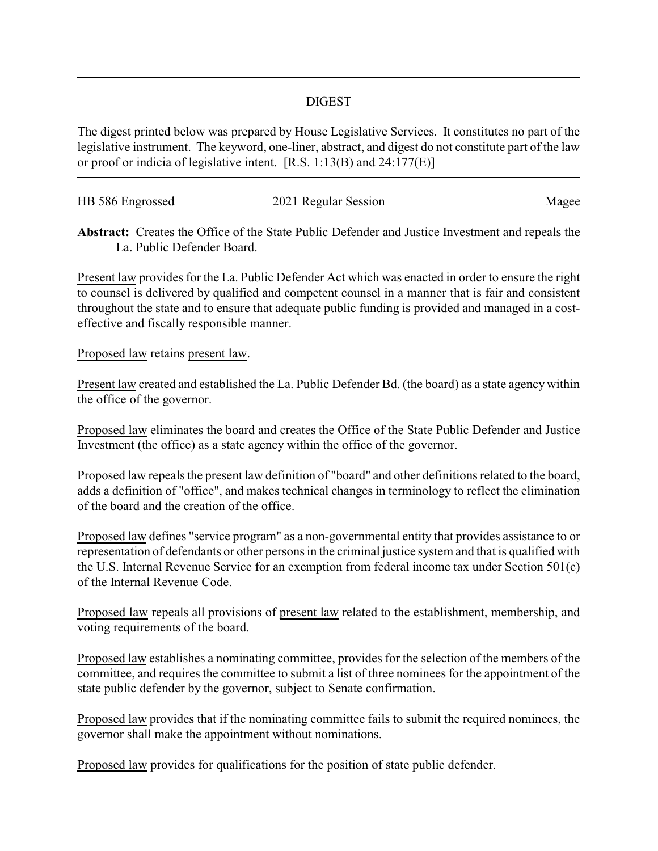## DIGEST

The digest printed below was prepared by House Legislative Services. It constitutes no part of the legislative instrument. The keyword, one-liner, abstract, and digest do not constitute part of the law or proof or indicia of legislative intent. [R.S. 1:13(B) and 24:177(E)]

| HB 586 Engrossed | 2021 Regular Session | Magee |
|------------------|----------------------|-------|
|                  |                      |       |

**Abstract:** Creates the Office of the State Public Defender and Justice Investment and repeals the La. Public Defender Board.

Present law provides for the La. Public Defender Act which was enacted in order to ensure the right to counsel is delivered by qualified and competent counsel in a manner that is fair and consistent throughout the state and to ensure that adequate public funding is provided and managed in a costeffective and fiscally responsible manner.

## Proposed law retains present law.

Present law created and established the La. Public Defender Bd. (the board) as a state agency within the office of the governor.

Proposed law eliminates the board and creates the Office of the State Public Defender and Justice Investment (the office) as a state agency within the office of the governor.

Proposed law repeals the present law definition of "board" and other definitions related to the board, adds a definition of "office", and makes technical changes in terminology to reflect the elimination of the board and the creation of the office.

Proposed law defines "service program" as a non-governmental entity that provides assistance to or representation of defendants or other persons in the criminal justice system and that is qualified with the U.S. Internal Revenue Service for an exemption from federal income tax under Section 501(c) of the Internal Revenue Code.

Proposed law repeals all provisions of present law related to the establishment, membership, and voting requirements of the board.

Proposed law establishes a nominating committee, provides for the selection of the members of the committee, and requires the committee to submit a list of three nominees for the appointment of the state public defender by the governor, subject to Senate confirmation.

Proposed law provides that if the nominating committee fails to submit the required nominees, the governor shall make the appointment without nominations.

Proposed law provides for qualifications for the position of state public defender.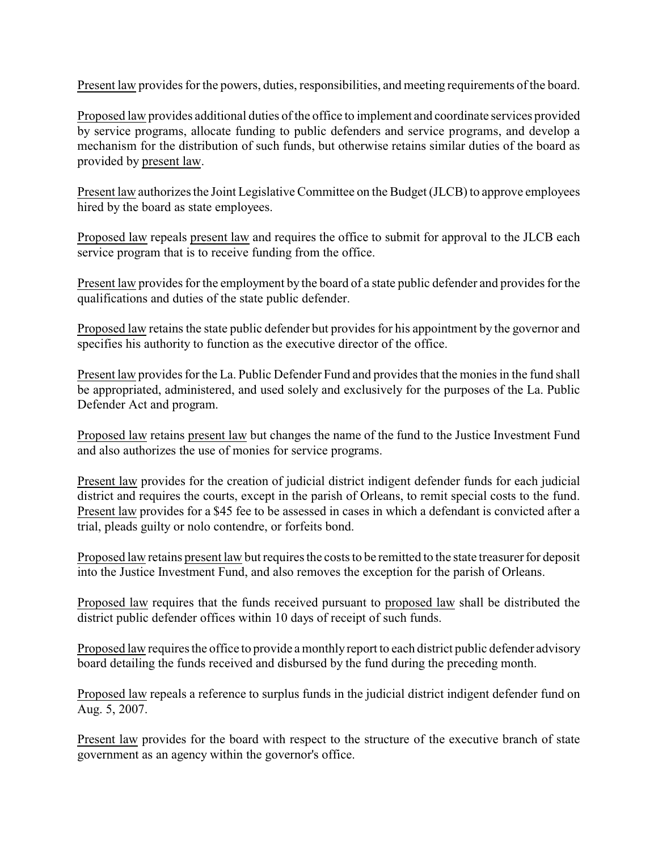Present law provides for the powers, duties, responsibilities, and meeting requirements of the board.

Proposed law provides additional duties of the office to implement and coordinate services provided by service programs, allocate funding to public defenders and service programs, and develop a mechanism for the distribution of such funds, but otherwise retains similar duties of the board as provided by present law.

Present law authorizes the Joint Legislative Committee on the Budget (JLCB) to approve employees hired by the board as state employees.

Proposed law repeals present law and requires the office to submit for approval to the JLCB each service program that is to receive funding from the office.

Present law provides for the employment by the board of a state public defender and provides for the qualifications and duties of the state public defender.

Proposed law retains the state public defender but provides for his appointment by the governor and specifies his authority to function as the executive director of the office.

Present law provides for the La. Public Defender Fund and provides that the monies in the fund shall be appropriated, administered, and used solely and exclusively for the purposes of the La. Public Defender Act and program.

Proposed law retains present law but changes the name of the fund to the Justice Investment Fund and also authorizes the use of monies for service programs.

Present law provides for the creation of judicial district indigent defender funds for each judicial district and requires the courts, except in the parish of Orleans, to remit special costs to the fund. Present law provides for a \$45 fee to be assessed in cases in which a defendant is convicted after a trial, pleads guilty or nolo contendre, or forfeits bond.

Proposed law retains present law but requires the costs to be remitted to the state treasurer for deposit into the Justice Investment Fund, and also removes the exception for the parish of Orleans.

Proposed law requires that the funds received pursuant to proposed law shall be distributed the district public defender offices within 10 days of receipt of such funds.

Proposed law requires the office to provide a monthly report to each district public defender advisory board detailing the funds received and disbursed by the fund during the preceding month.

Proposed law repeals a reference to surplus funds in the judicial district indigent defender fund on Aug. 5, 2007.

Present law provides for the board with respect to the structure of the executive branch of state government as an agency within the governor's office.